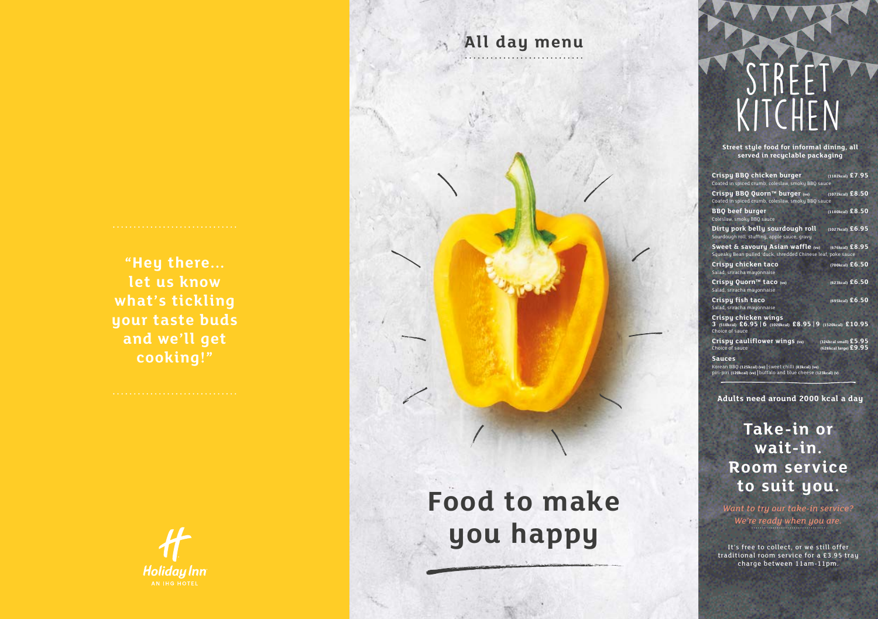**Take-in or wait-in. Room service to suit you.**

*Want to try our take-in service? We're ready when you are.*

It's free to collect, or we still offer traditional room service for a £3.95 tray charge between 11am-11pm.

# STREE<sup>T</sup> kitchen

# **Food to make you happy**

**"Hey there... let us know what's tickling your taste buds and we'll get cooking!"**



**All day menu**

**Street style food for informal dining, all served in recyclable packaging**

| Crispy BBQ chicken burger (1102kcal) £7.95<br>Coated in spiced crumb, coleslaw, smoky BBQ sauce                                             |                                                  |  |
|---------------------------------------------------------------------------------------------------------------------------------------------|--------------------------------------------------|--|
| Crispy BBQ Quorn™ burger (ve)<br>Coated in spiced crumb, coleslaw, smoky BBQ sauce                                                          | $(1072kcal)$ £8.50                               |  |
| BBQ beef burger<br>Coleslaw, smoky BBQ sauce                                                                                                | $(1180kcal)$ £8.50                               |  |
| Dirty pork belly sourdough roll<br>Sourdough roll, stuffing, apple sauce, gravy                                                             | (1027kcal) £6.95                                 |  |
| Squeaky Bean pulled 'duck, shredded Chinese leaf, poke sauce                                                                                |                                                  |  |
| Crispy chicken taco<br>Salad, sriracha mayonnaise                                                                                           | $(700kcal)$ £6.50                                |  |
| Crispy Quorn™ taco (ve)<br>Salad, sriracha mayonnaise                                                                                       | $(623kcal)$ £6.50                                |  |
| Crispy fish taco<br>Salad, sriracha mayonnaise                                                                                              | $(695kcal)$ £6.50                                |  |
| Crispy chicken wings<br>3 (510kcal) £6.95 6 (1020kcal) £8.95 9 (1520kcal) £10.95<br>Choice of sauce                                         |                                                  |  |
| Crispy cauliflower wings (ve)<br>Choice of sauce                                                                                            | $(324kcal small)$ £5.95<br>(628kcal large) £9.95 |  |
| <b>Sauces</b><br>Korean BBQ (125kcal) (ve)   sweet chilli (83kcal) (ve)<br>piri-piri (120kcal) (ve)   buffalo and blue cheese (123kcal) (v) |                                                  |  |

**Adults need around 2000 kcal a day**